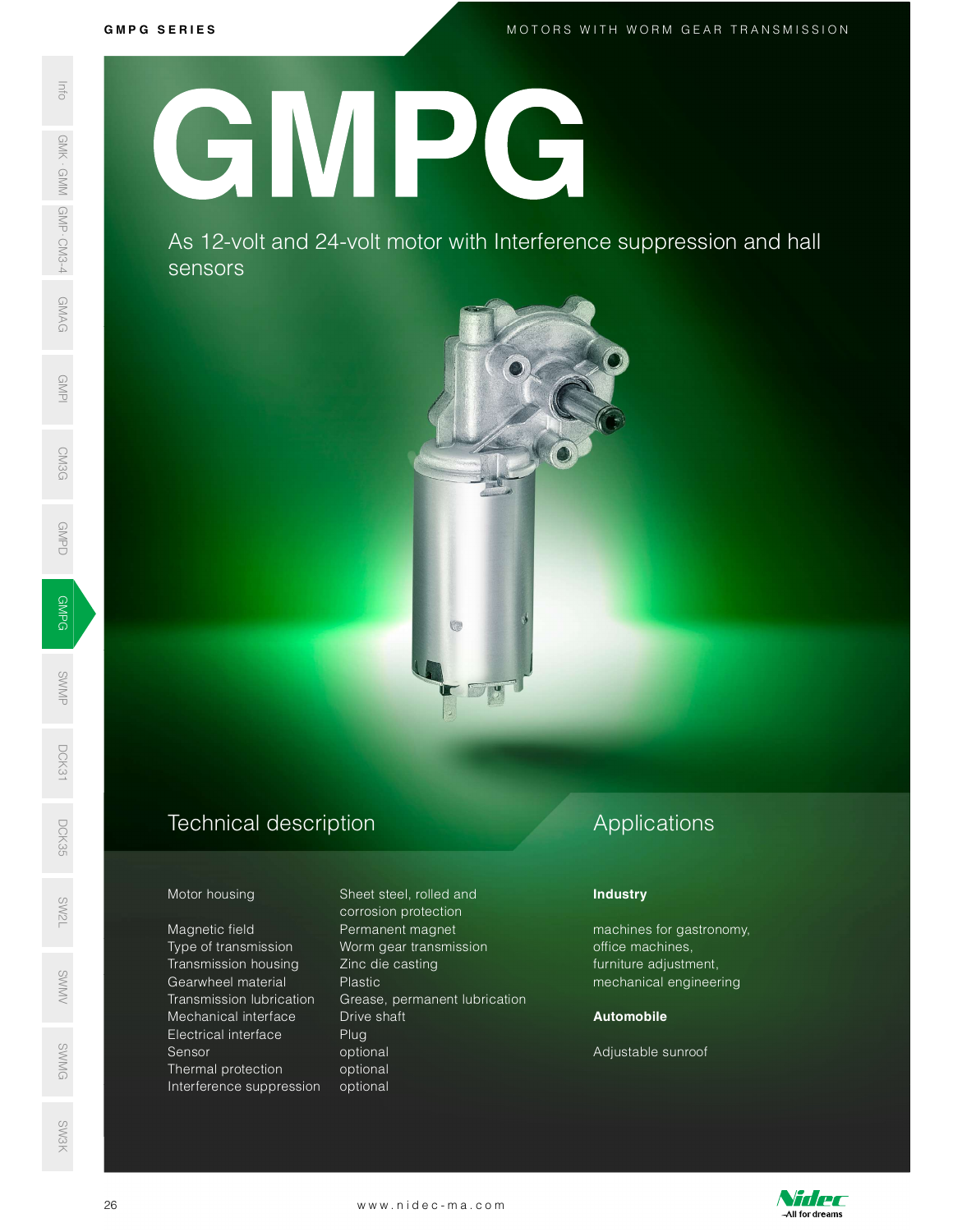M O T O R S W I T H W O R M G E A R T R A N S M I S S I O N

GMPG SERIES<br>GMPG SERIES<br>COMPOSERIES GMPG

> As 12 -volt and 24 -volt motor with Interference suppression and hall sensors



## Technical description D<sub>CK</sub><br>35<br>55

GMPG

SWMP

DCK31

Magnetic field **Permanent magnet** Type of transmission Worm gear transmission Transmission housing Zinc die casting Mechanical interface Drive shaft Electrical interface Plug Sensor optional ©<br>
Sensor optional<br>
SMG Distribution optional Interference suppression optional SW<br>No. 1986<br>No. 1986 SWAS 12-VC<br>
SERIES AS 12-VC<br>
SERIES AS 12-VC<br>
SERIES AS 12-VC<br>
SERIES AS 12-VC<br>
SERIES AS 12-VC<br>
Motor housing<br>
Magnetic field<br>
Transmission<br>
Transmission<br>
Mechanical interference s<br>
Series Transmission<br>
Mechanical interfe

Motor housing Sheet steel, rolled and corrosion protection s<br>Sent to Gearwheel material The Plastic<br>Senting Transmission Iubrication Therase, permanent Iubrication Transmission lubrication Grease, permanent lubrication Mechanical interface Drive shaft<br>
Electrical interface Plug<br>
Sensor<br>
Thermal protection optional<br>
Interference suppression optional<br>
Interference suppression optional<br>
26<br>
WWW.nidec-ma.com

# Applications

### **Industry**

machines for gastronomy, office machines, furniture adjustment, mechanical engineering

### Automobile

Adjustable sunroof



SW3K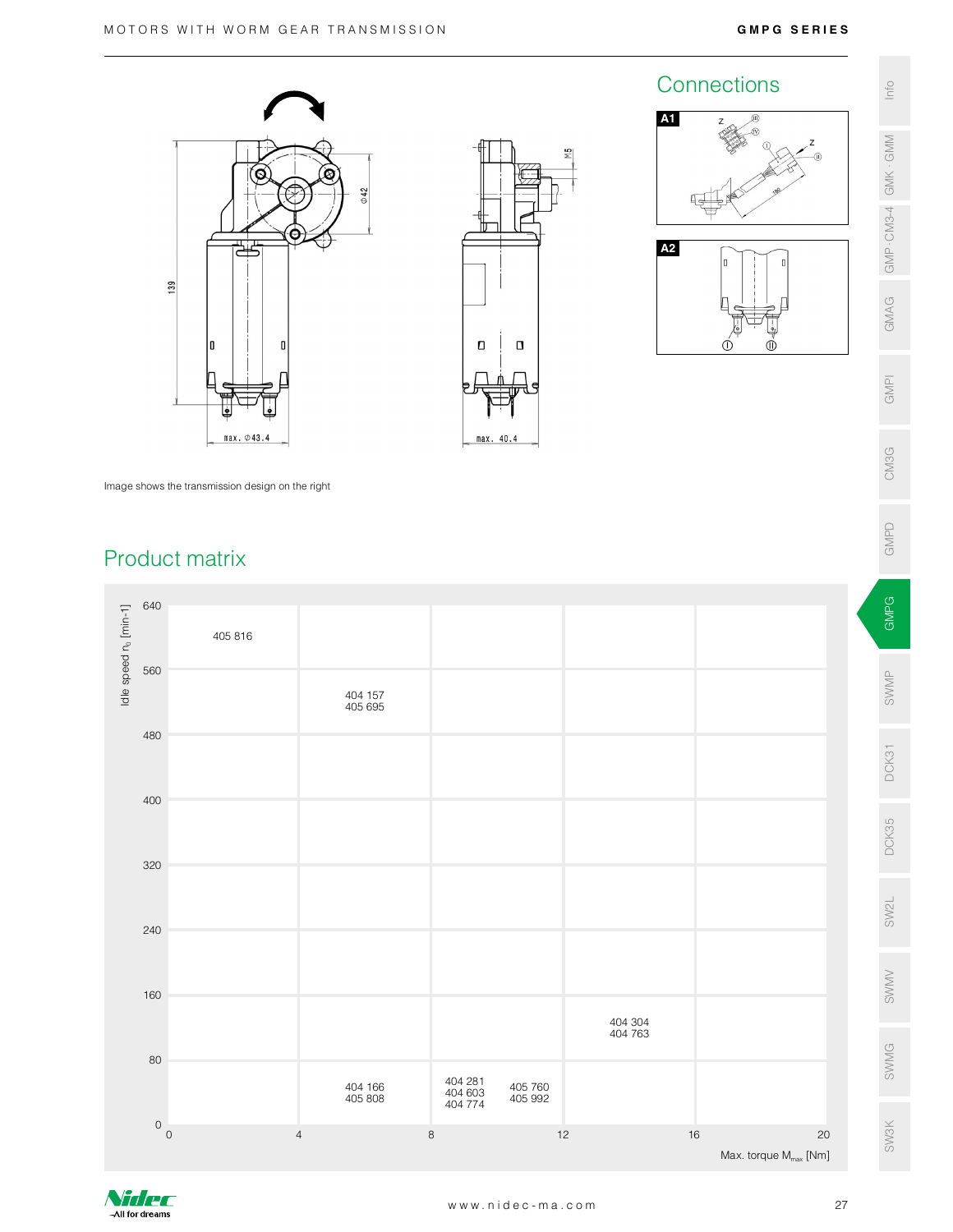





Image shows the transmission design on the right

# Product matrix



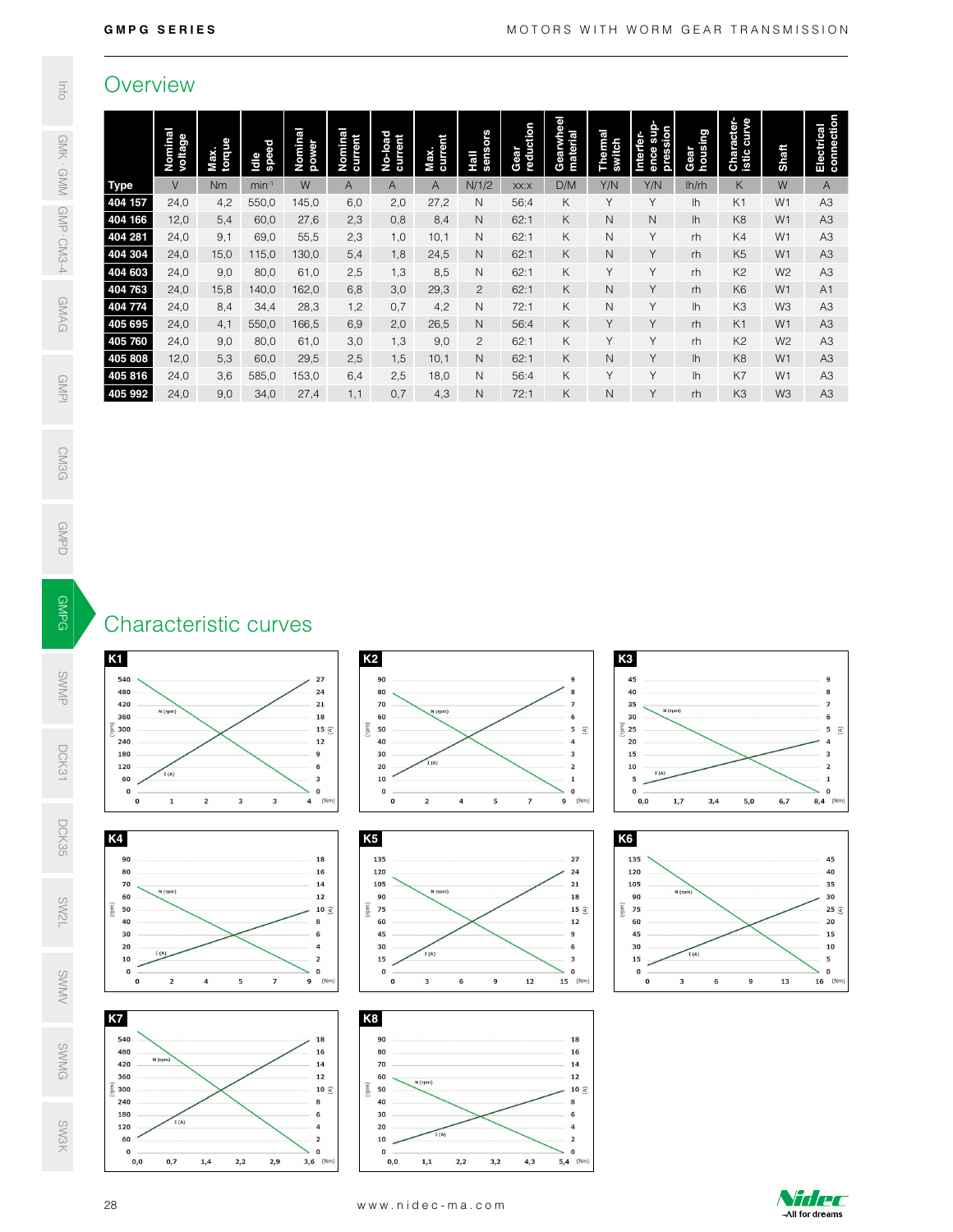## **Overview**

|                                                                                                                                                                                      | Overview                          |                             |                         |                                                                                                                                    |                              |                                                                                                                                    |                                             |                             |                   |                                                                                                                                             |                        |                                                                                              |                                                |                                  |                      |                                                                                      |
|--------------------------------------------------------------------------------------------------------------------------------------------------------------------------------------|-----------------------------------|-----------------------------|-------------------------|------------------------------------------------------------------------------------------------------------------------------------|------------------------------|------------------------------------------------------------------------------------------------------------------------------------|---------------------------------------------|-----------------------------|-------------------|---------------------------------------------------------------------------------------------------------------------------------------------|------------------------|----------------------------------------------------------------------------------------------|------------------------------------------------|----------------------------------|----------------------|--------------------------------------------------------------------------------------|
|                                                                                                                                                                                      | Nominal<br>voltage                | Max.<br>torque              | Idle<br>speed           | Nominal<br>power                                                                                                                   | Nominal<br>current           | No-load<br>current                                                                                                                 | Max.<br>current                             | Hall<br>sensors             | Gear<br>reduction | Gearwheel<br>material                                                                                                                       | Thermal<br>switch      | ence sup<br>pression<br>Interfer-                                                            | Gear<br>housing                                | Character-<br>istic curve        | Shaft                | Electrical<br>connection                                                             |
| <b>Type</b>                                                                                                                                                                          | $\mathsf{V}$                      | <b>Nm</b>                   | $min-1$                 | W                                                                                                                                  | A                            | $\mathsf{A}$                                                                                                                       | $\overline{A}$                              | N/1/2                       | XX:X              | D/M                                                                                                                                         | Y/N                    | Y/N                                                                                          | lh/rh                                          | K                                | W                    | $\mathsf{A}$                                                                         |
| 404 157<br>404 166                                                                                                                                                                   | 24,0<br>12,0                      | 4,2<br>5,4                  | 550,0<br>60,0           | 145,0<br>27,6                                                                                                                      | 6,0<br>2,3                   | 2,0<br>0,8                                                                                                                         | 27,2<br>8,4                                 | $\mathsf{N}$<br>$\mathsf N$ | 56:4<br>62:1      | K<br>K                                                                                                                                      | Y<br>${\sf N}$         | Y<br>$\hbox{N}$                                                                              | Ih<br>lh                                       | K <sub>1</sub><br>K8             | W <sub>1</sub><br>W1 | A3<br>A <sub>3</sub>                                                                 |
| 404 281                                                                                                                                                                              | 24,0                              | 9,1                         | 69,0                    | 55,5                                                                                                                               | 2,3                          | 1,0                                                                                                                                | 10,1                                        | $\mathsf{N}$                | 62:1              | Κ                                                                                                                                           | $\mathsf{N}$           | Υ                                                                                            | rh                                             | K4                               | W <sub>1</sub>       | A <sub>3</sub>                                                                       |
| 404 304<br>404 603                                                                                                                                                                   | 24,0                              | 15,0                        | 115,0                   | 130,0                                                                                                                              | 5,4                          | 1,8                                                                                                                                | 24,5                                        | $\mathsf{N}$                | 62:1              | K<br>K                                                                                                                                      | $\hbox{N}$<br>Y        | Y<br>Y                                                                                       | rh                                             | K <sub>5</sub><br>K <sub>2</sub> | W <sub>1</sub>       | A <sub>3</sub>                                                                       |
| 404 763                                                                                                                                                                              | 24,0<br>24,0                      | 9,0<br>15,8                 | 80,0<br>140,0           | 61,0<br>162,0                                                                                                                      | 2,5<br>6,8                   | 1,3<br>3,0                                                                                                                         | 8,5<br>29,3                                 | N<br>$\overline{c}$         | 62:1<br>62:1      | К                                                                                                                                           | $\mathsf N$            | Y                                                                                            | rh<br>rh                                       | K <sub>6</sub>                   | W <sub>2</sub><br>W1 | A <sub>3</sub><br>A1                                                                 |
| 404 774                                                                                                                                                                              | 24,0                              | 8,4                         | 34,4                    | 28,3                                                                                                                               | 1,2                          | 0,7                                                                                                                                | 4,2                                         | $\mathsf N$                 | 72:1              | K                                                                                                                                           | $\mathsf N$            | Υ                                                                                            | lh                                             | K3                               | W3                   | A <sub>3</sub>                                                                       |
| 405 695                                                                                                                                                                              | 24,0                              | 4,1                         | 550,0                   | 166,5                                                                                                                              | 6,9                          | 2,0                                                                                                                                | 26,5                                        | $\mathsf N$                 | 56:4              | K                                                                                                                                           | Y                      | Y                                                                                            | rh                                             | K1                               | W <sub>1</sub>       | A <sub>3</sub>                                                                       |
| 405 760<br>405 808                                                                                                                                                                   | 24,0<br>12,0                      | 9,0<br>5,3                  | 80,0<br>60,0            | 61,0<br>29,5                                                                                                                       | 3,0<br>2,5                   | 1,3<br>1,5                                                                                                                         | 9,0<br>10, 1                                | $\overline{c}$<br>N         | 62:1<br>62:1      | Κ<br>К                                                                                                                                      | Y<br>$\mathsf N$       | Υ<br>Υ                                                                                       | rh<br>lh                                       | K <sub>2</sub><br>K8             | W <sub>2</sub><br>W1 | A <sub>3</sub><br>A <sub>3</sub>                                                     |
| 405 816                                                                                                                                                                              | 24,0                              | 3,6                         | 585,0                   | 153,0                                                                                                                              | 6,4                          | 2,5                                                                                                                                | 18,0                                        | $\mathsf{N}$                | 56:4              | К                                                                                                                                           | Y                      | Υ                                                                                            | lh                                             | K7                               | W1                   | A <sub>3</sub>                                                                       |
| 405 992                                                                                                                                                                              | 24,0                              | 9,0                         | 34,0                    | 27,4                                                                                                                               | 1,1                          | 0,7                                                                                                                                | 4,3                                         | $\mathsf{N}$                | 72:1              | Κ                                                                                                                                           | $\hbox{N}$             | Y                                                                                            | rh                                             | K <sub>3</sub>                   | W <sub>3</sub>       | A <sub>3</sub>                                                                       |
|                                                                                                                                                                                      |                                   |                             |                         |                                                                                                                                    |                              |                                                                                                                                    |                                             |                             |                   |                                                                                                                                             |                        |                                                                                              |                                                |                                  |                      |                                                                                      |
| 60<br>$\mathbf{o}$<br>$\mathbf{o}$                                                                                                                                                   | $N$ (rpm)<br>I(A)<br>$\mathbf{1}$ | $\mathbf{2}$<br>3           | $\overline{\mathbf{3}}$ | 27<br>24<br>${\bf 21}$<br>18<br>15 $\mathfrak{S}$<br>$12\,$<br>9<br>6<br>$\mathsf{3}$<br>$\mathbf 0$<br>$4$ (Nm)                   | K <sub>2</sub><br>(mu)<br>K5 | 90<br>80<br>70<br>60<br>50<br>40<br>30<br>20<br>10<br>$\mathbf 0$<br>$\mathbf{o}$                                                  | N(rpm)<br>(A)<br>$\overline{\mathbf{2}}$    | 5<br>$\overline{a}$         | $\overline{7}$    | 9<br>$\frac{1}{8}$<br>$\overline{7}$<br>6<br>5<br>$\widehat{\mathcal{E}}$<br>4<br>$\overline{2}$<br>$\mathbf{1}$<br>$\mathbf 0$<br>$9$ (Nm) | K <sub>3</sub><br>툔 25 | 45<br>40<br>35<br>N (rpm)<br>30<br>20<br>15<br>10<br>I(A)<br>5<br>$\bf{0}$<br>$0,0$          | 1,7<br>3,4                                     | 5,0                              | 6,7                  | 9<br>7<br>$5 \leq$<br>$\overline{2}$<br>$\mathbf{1}$<br>$\mathbf 0$<br>$8,4$ (Nm)    |
| Characteristic curves<br>K1<br>540<br>480<br>420<br>360<br>5300<br>240<br>180<br>120<br>K4<br>90<br>80<br>70<br>60<br>E<br>50<br>40<br>30<br>20<br>10<br>$\mathbf 0$<br>$\mathbf{o}$ | $N$ (rpm)<br>$\overline{2}$       | $\overline{4}$<br>${\bf 5}$ | $\overline{7}$          | 18<br>16<br>14<br>12<br>10 $\leq$<br>6<br>$\overline{a}$<br>$\overline{2}$<br>$\mathbf 0$<br>(Nm)<br>9                             |                              | 135<br>120<br>105<br>90<br>$\begin{bmatrix} 2 & 75 \\ 10 & 15 \end{bmatrix}$<br>60<br>45<br>30<br>15<br>$\mathbf 0$<br>$\mathbf 0$ | N (rpm)<br>I(A)<br>$\mathsf 3$              | $\,$ 6<br>9                 | $12\,$            | 27<br>24<br>21<br>${\bf 18}$<br>15 $\leq$<br>${\bf 12}$<br>$\overline{9}$<br>6<br>3<br>$\mathbf 0$<br>$15$ (Nm)                             | K <sub>6</sub><br>(mq) | 135<br>120<br>105<br>90<br>75<br>60<br>45<br>30<br>${\bf 15}$<br>$\mathbf 0$<br>$\mathbf{o}$ | N (rpm)<br>I(A)<br>$\mathbf 6$<br>$\mathsf{3}$ | 9                                | 13                   | 45<br>40<br>35<br>30<br>$25 \leq$<br>20<br>15<br>10<br>5<br>$\mathbf 0$<br>$16$ (Nm) |
| K7<br>540<br>480<br>420<br>360<br>5300<br>240<br>180<br>120<br>60<br>$\mathbf 0$<br>0, 0                                                                                             | N (rpm)<br>I(A)<br>0,7            | $1,4$<br>2,2                | 2,9                     | 18<br>16<br>14<br>$12\,$<br>10 $\mathfrak{S}$<br>8<br>6<br>$\overline{4}$<br>$\overline{\mathbf{z}}$<br>$\mathbf{o}$<br>$3,6$ (Nm) | K8<br>$\left( \tau$          | 90<br>80<br>70<br>60<br>50<br>40<br>30<br>20<br>10<br>$\mathbf 0$<br>0, 0                                                          | N (rpm)<br>I(A)<br>$\mathbf{1}, \mathbf{1}$ | 2,2<br>3,2                  | 4,3               | 18<br>16<br>14<br>$12\,$<br>$10 \leq$<br>8<br>6<br>4<br>$\overline{2}$<br>$\mathbf{o}$<br>$5,4$ (Nm)                                        |                        |                                                                                              |                                                |                                  |                      |                                                                                      |



## Characteristic curves